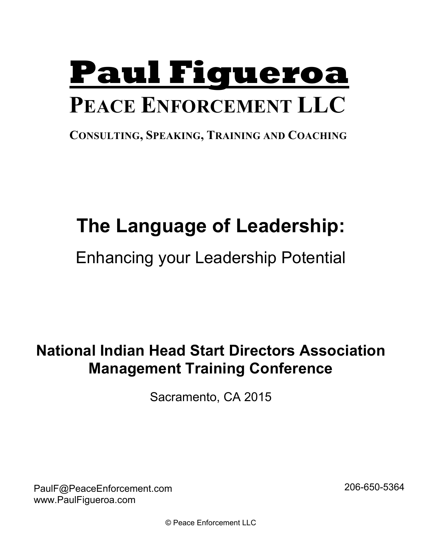# **Paul Figueroa PEACE ENFORCEMENT LLC**

### **CONSULTING, SPEAKING, TRAINING AND COACHING**

## **The Language of Leadership:**

## Enhancing your Leadership Potential

## **National Indian Head Start Directors Association Management Training Conference**

Sacramento, CA 2015

PaulF@PeaceEnforcement.com www.PaulFigueroa.com

206-650-5364

© Peace Enforcement LLC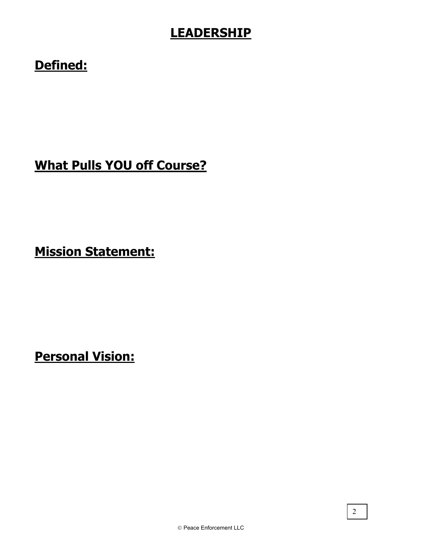### **LEADERSHIP**

### **Defined:**

**What Pulls YOU off Course?**

**Mission Statement:**

**Personal Vision:**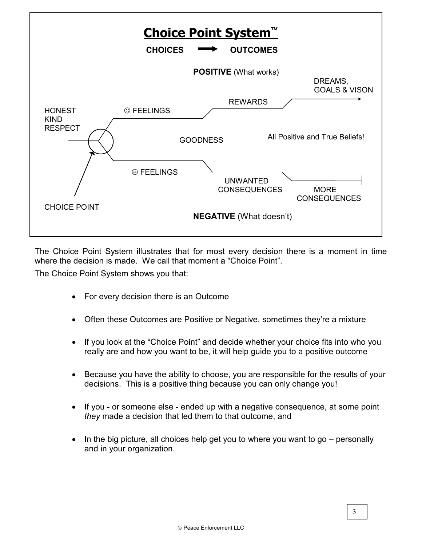

The Choice Point System illustrates that for most every decision there is a moment in time where the decision is made. We call that moment a "Choice Point".

The Choice Point System shows you that:

- For every decision there is an Outcome
- Often these Outcomes are Positive or Negative, sometimes they're a mixture
- If you look at the "Choice Point" and decide whether your choice fits into who you really are and how you want to be, it will help guide you to a positive outcome
- Because you have the ability to choose, you are responsible for the results of your decisions. This is a positive thing because you can only change you!
- If you or someone else ended up with a negative consequence, at some point *they* made a decision that led them to that outcome, and
- In the big picture, all choices help get you to where you want to  $go$  personally and in your organization.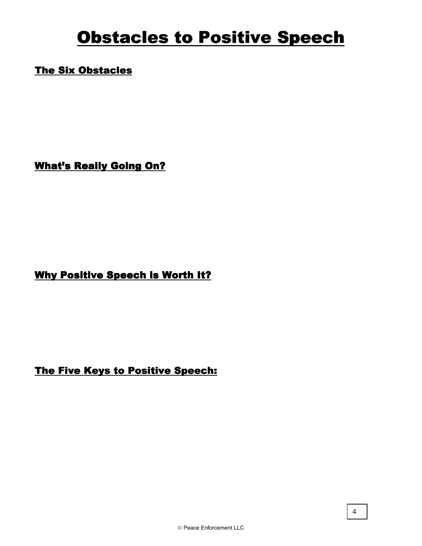## **Obstacles to Positive Speech**

### The Six Obstacles

What's Really Going On?

### Why Positive Speech is Worth It?

The Five Keys to Positive Speech: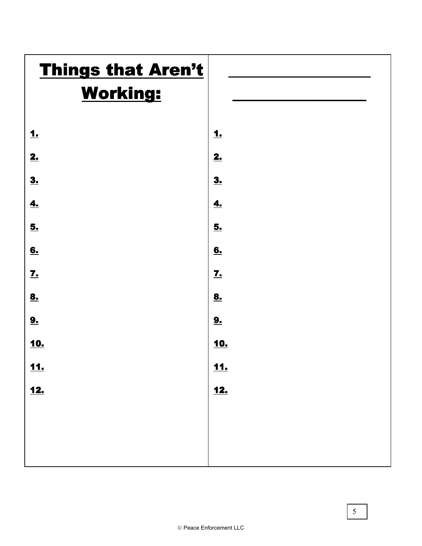| <b>Things that Aren't</b><br><b>Working:</b> |                          |
|----------------------------------------------|--------------------------|
| $\mathbf{1}$                                 | 1.                       |
| 2.                                           | 2.                       |
| 3.                                           | 3.                       |
| 4.                                           | 4.                       |
| 5.                                           | 5.                       |
| 6.                                           | 6.                       |
| $\underline{\mathbf{7}}$ .                   | $\mathbf{Z}$             |
| 8.                                           | 8.                       |
| 9.                                           | 9.                       |
| <u>10.</u>                                   | <u>10.</u>               |
| <u>11.</u>                                   | <u>11.</u><br><u>12.</u> |
| <u>12.</u>                                   |                          |
|                                              |                          |
|                                              |                          |
|                                              |                          |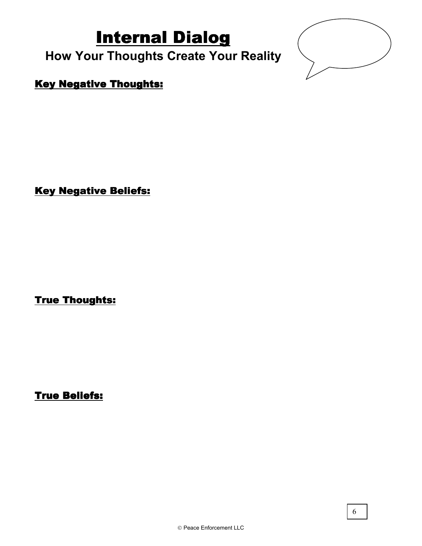## **Internal Dialog**

**How Your Thoughts Create Your Reality** 



#### **Key Negative Thoughts:**

**Key Negative Beliefs:** 

**True Thoughts:** 

**True Beliefs:**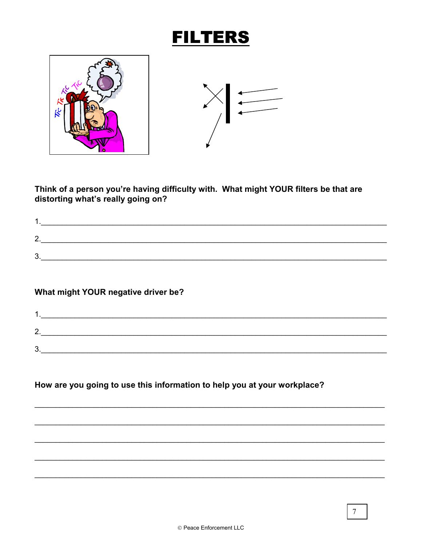## **FILTERS**



Think of a person you're having difficulty with. What might YOUR filters be that are distorting what's really going on?

| . . |  |  |
|-----|--|--|
| 2.  |  |  |
| 3.  |  |  |

#### What might YOUR negative driver be?

| 2        |  |
|----------|--|
| <u>.</u> |  |
| 2<br>J.  |  |

How are you going to use this information to help you at your workplace?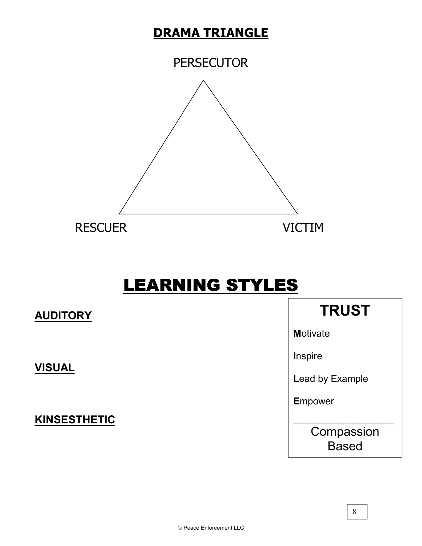### **DRAMA TRIANGLE**

### **PERSECUTOR**



## **LEARNING STYLES**

### **AUDITORY**

### **VISUAL**

### **KINSESTHETIC**

## **TRUST**

**Motivate** 

**Inspire** 

Lead by Example

Empower

Compassion **Based**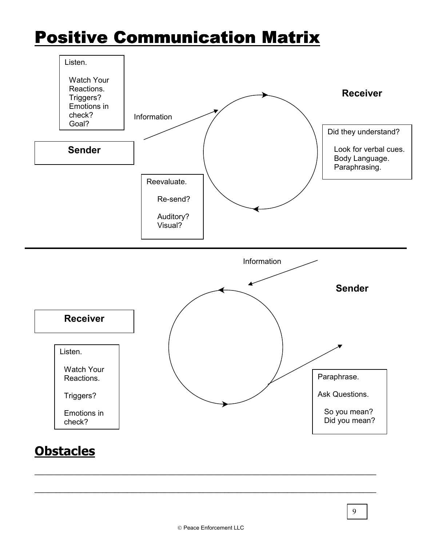## **Positive Communication Matrix**



### **Obstacles**

\_\_\_\_\_\_\_\_\_\_\_\_\_\_\_\_\_\_\_\_\_\_\_\_\_\_\_\_\_\_\_\_\_\_\_\_\_\_\_\_\_\_\_\_\_\_\_\_\_\_\_\_\_\_\_\_\_\_\_\_\_\_\_\_\_\_\_\_\_\_\_\_\_\_\_\_\_\_\_\_\_

\_\_\_\_\_\_\_\_\_\_\_\_\_\_\_\_\_\_\_\_\_\_\_\_\_\_\_\_\_\_\_\_\_\_\_\_\_\_\_\_\_\_\_\_\_\_\_\_\_\_\_\_\_\_\_\_\_\_\_\_\_\_\_\_\_\_\_\_\_\_\_\_\_\_\_\_\_\_\_\_\_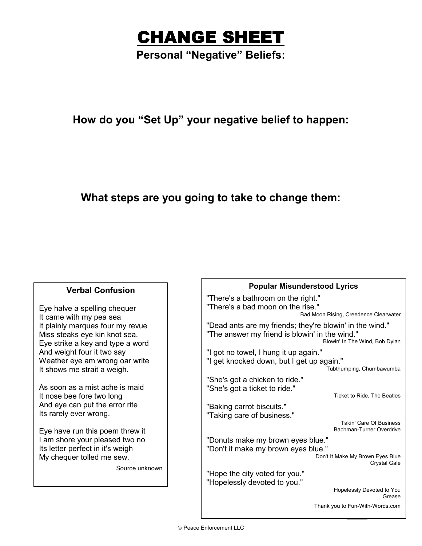## CHANGE SHEET

**Personal "Negative" Beliefs:** 

### **How do you "Set Up" your negative belief to happen:**

### **What steps are you going to take to change them:**

#### **Verbal Confusion**

Eye halve a spelling chequer It came with my pea sea It plainly marques four my revue Miss steaks eye kin knot sea. Eye strike a key and type a word And weight four it two say Weather eye am wrong oar write It shows me strait a weigh.

As soon as a mist ache is maid It nose bee fore two long And eye can put the error rite Its rarely ever wrong.

Eye have run this poem threw it I am shore your pleased two no Its letter perfect in it's weigh My chequer tolled me sew.

Source unknown

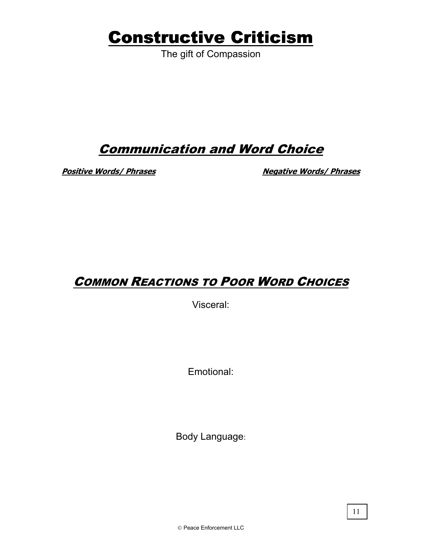## Constructive Criticism

The gift of Compassion

## Communication and Word Choice

**Positive Words/ Phrases Negative Words/ Phrases** 

### **COMMON REACTIONS TO POOR WORD CHOICES**

Visceral:

Emotional:

Body Language: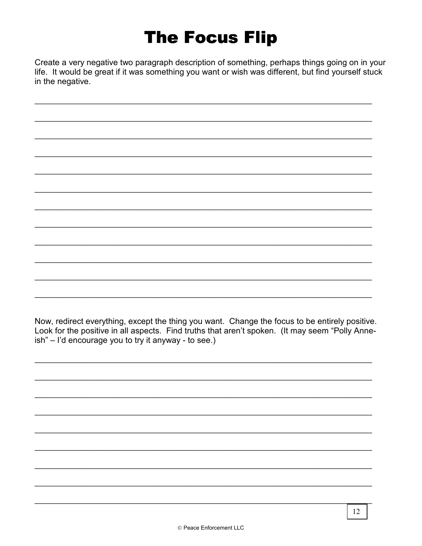## **The Focus Flip**

Create a very negative two paragraph description of something, perhaps things going on in your life. It would be great if it was something you want or wish was different, but find yourself stuck in the negative.

Now, redirect everything, except the thing you want. Change the focus to be entirely positive. Look for the positive in all aspects. Find truths that aren't spoken. (It may seem "Polly Anneish" - I'd encourage you to try it anyway - to see.)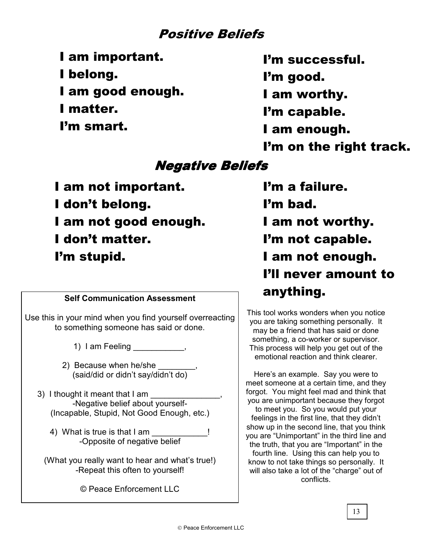### Positive Beliefs

- I am important. I belong. I am good enough.
- I matter.
- I'm smart.
- I'm successful.
- I'm good.

I am worthy.

I'm capable.

- I am enough.
- I'm on the right track.

### **Negative Beliefs**

I am not important. I don't belong. I am not good enough. I don't matter. I'm stupid.

#### **Self Communication Assessment**

Use this in your mind when you find yourself overreacting to something someone has said or done.

1) I am Feeling the control of the set of the set of the set of the set of the set of the set of the set of the set of the set of the set of the set of the set of the set of the set of the set of the set of the set of the

- 2) Because when he/she (said/did or didn't say/didn't do)
- 3) I thought it meant that I am -Negative belief about yourself- (Incapable, Stupid, Not Good Enough, etc.)
	- 4) What is true is that I am \_\_\_\_\_\_\_\_\_\_\_\_\_! -Opposite of negative belief
	- (What you really want to hear and what's true!) -Repeat this often to yourself!

© Peace Enforcement LLC

I'm a failure. I'm bad. I am not worthy. I'm not capable. I am not enough. I'll never amount to anything.

This tool works wonders when you notice you are taking something personally. It may be a friend that has said or done something, a co-worker or supervisor. This process will help you get out of the emotional reaction and think clearer.

Here's an example. Say you were to meet someone at a certain time, and they forgot. You might feel mad and think that you are unimportant because they forgot to meet you. So you would put your feelings in the first line, that they didn't show up in the second line, that you think you are "Unimportant" in the third line and the truth, that you are "Important" in the fourth line. Using this can help you to know to not take things so personally. It will also take a lot of the "charge" out of conflicts.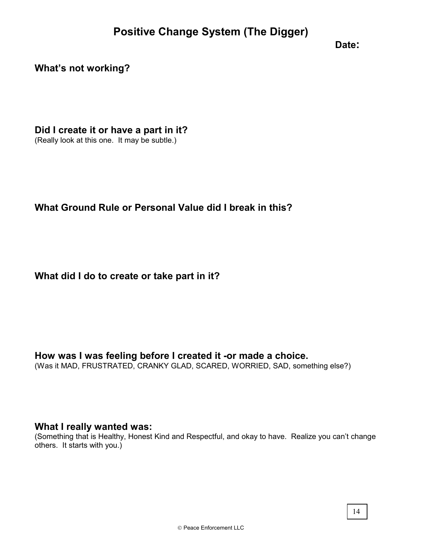### **Positive Change System (The Digger)**

**Date:**  $\blacksquare$ 

**What's not working?** 

**Did I create it or have a part in it?** 

(Really look at this one. It may be subtle.)

#### **What Ground Rule or Personal Value did I break in this?**

**What did I do to create or take part in it?** 

**How was I was feeling before I created it -or made a choice.** 

(Was it MAD, FRUSTRATED, CRANKY GLAD, SCARED, WORRIED, SAD, something else?)

#### **What I really wanted was:**

(Something that is Healthy, Honest Kind and Respectful, and okay to have. Realize you can't change others. It starts with you.)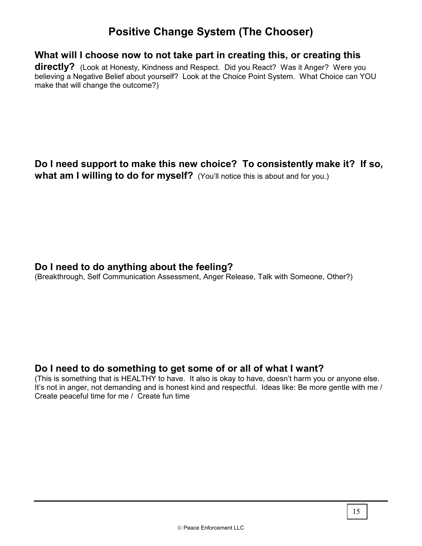### **Positive Change System (The Chooser)**

#### **What will I choose now to not take part in creating this, or creating this**

**directly?** (Look at Honesty, Kindness and Respect. Did you React? Was it Anger? Were you believing a Negative Belief about yourself? Look at the Choice Point System. What Choice can YOU make that will change the outcome?)

#### **Do I need support to make this new choice? To consistently make it? If so, what am I willing to do for myself?** (You'll notice this is about and for you.)

#### **Do I need to do anything about the feeling?**

(Breakthrough, Self Communication Assessment, Anger Release, Talk with Someone, Other?)

#### **Do I need to do something to get some of or all of what I want?**

(This is something that is HEALTHY to have. It also is okay to have, doesn't harm you or anyone else. It's not in anger, not demanding and is honest kind and respectful. Ideas like: Be more gentle with me / Create peaceful time for me / Create fun time